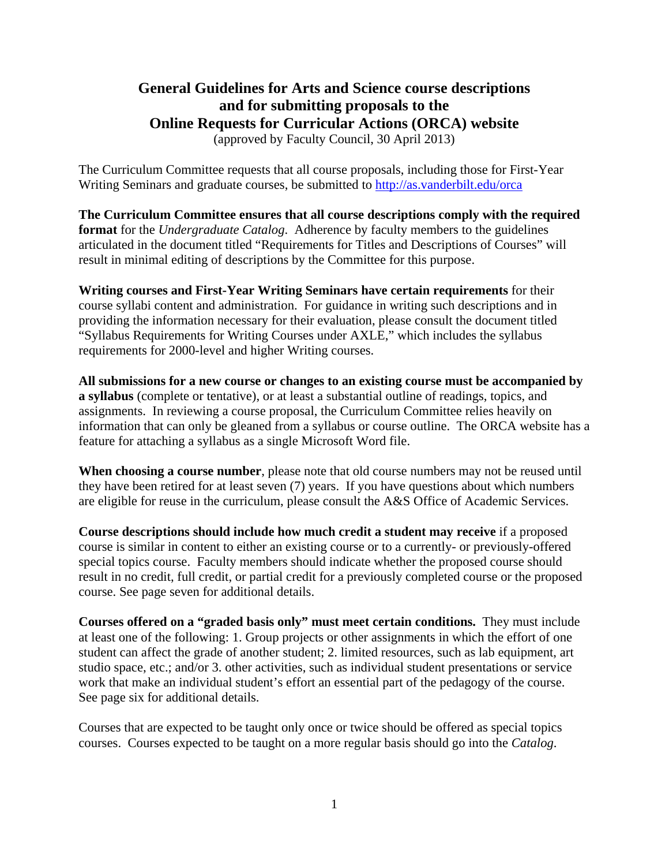# **General Guidelines for Arts and Science course descriptions and for submitting proposals to the Online Requests for Curricular Actions (ORCA) website**  (approved by Faculty Council, 30 April 2013)

The Curriculum Committee requests that all course proposals, including those for First-Year Writing Seminars and graduate courses, be submitted to http://as.vanderbilt.edu/orca

**The Curriculum Committee ensures that all course descriptions comply with the required format** for the *Undergraduate Catalog*. Adherence by faculty members to the guidelines articulated in the document titled "Requirements for Titles and Descriptions of Courses" will result in minimal editing of descriptions by the Committee for this purpose.

**Writing courses and First-Year Writing Seminars have certain requirements** for their course syllabi content and administration. For guidance in writing such descriptions and in providing the information necessary for their evaluation, please consult the document titled "Syllabus Requirements for Writing Courses under AXLE," which includes the syllabus requirements for 2000-level and higher Writing courses.

**All submissions for a new course or changes to an existing course must be accompanied by a syllabus** (complete or tentative), or at least a substantial outline of readings, topics, and assignments. In reviewing a course proposal, the Curriculum Committee relies heavily on information that can only be gleaned from a syllabus or course outline. The ORCA website has a feature for attaching a syllabus as a single Microsoft Word file.

**When choosing a course number**, please note that old course numbers may not be reused until they have been retired for at least seven (7) years. If you have questions about which numbers are eligible for reuse in the curriculum, please consult the A&S Office of Academic Services.

**Course descriptions should include how much credit a student may receive** if a proposed course is similar in content to either an existing course or to a currently- or previously-offered special topics course. Faculty members should indicate whether the proposed course should result in no credit, full credit, or partial credit for a previously completed course or the proposed course. See page seven for additional details.

**Courses offered on a "graded basis only" must meet certain conditions.** They must include at least one of the following: 1. Group projects or other assignments in which the effort of one student can affect the grade of another student; 2. limited resources, such as lab equipment, art studio space, etc.; and/or 3. other activities, such as individual student presentations or service work that make an individual student's effort an essential part of the pedagogy of the course. See page six for additional details.

Courses that are expected to be taught only once or twice should be offered as special topics courses. Courses expected to be taught on a more regular basis should go into the *Catalog*.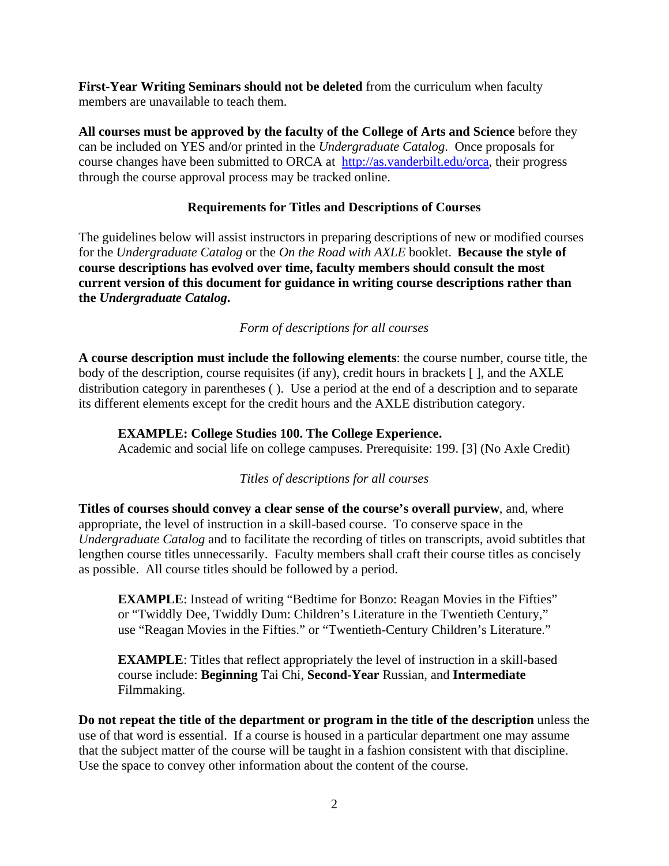**First-Year Writing Seminars should not be deleted** from the curriculum when faculty members are unavailable to teach them.

**All courses must be approved by the faculty of the College of Arts and Science** before they can be included on YES and/or printed in the *Undergraduate Catalog*. Once proposals for course changes have been submitted to ORCA at http://as.vanderbilt.edu/orca, their progress through the course approval process may be tracked online.

### **Requirements for Titles and Descriptions of Courses**

The guidelines below will assist instructors in preparing descriptions of new or modified courses for the *Undergraduate Catalog* or the *On the Road with AXLE* booklet. **Because the style of course descriptions has evolved over time, faculty members should consult the most current version of this document for guidance in writing course descriptions rather than the** *Undergraduate Catalog***.** 

### *Form of descriptions for all courses*

**A course description must include the following elements**: the course number, course title, the body of the description, course requisites (if any), credit hours in brackets [], and the AXLE distribution category in parentheses ( ). Use a period at the end of a description and to separate its different elements except for the credit hours and the AXLE distribution category.

### **EXAMPLE: College Studies 100. The College Experience.**

Academic and social life on college campuses. Prerequisite: 199. [3] (No Axle Credit)

#### *Titles of descriptions for all courses*

**Titles of courses should convey a clear sense of the course's overall purview**, and, where appropriate, the level of instruction in a skill-based course. To conserve space in the *Undergraduate Catalog* and to facilitate the recording of titles on transcripts, avoid subtitles that lengthen course titles unnecessarily. Faculty members shall craft their course titles as concisely as possible. All course titles should be followed by a period.

**EXAMPLE**: Instead of writing "Bedtime for Bonzo: Reagan Movies in the Fifties" or "Twiddly Dee, Twiddly Dum: Children's Literature in the Twentieth Century," use "Reagan Movies in the Fifties." or "Twentieth-Century Children's Literature."

**EXAMPLE**: Titles that reflect appropriately the level of instruction in a skill-based course include: **Beginning** Tai Chi, **Second-Year** Russian, and **Intermediate** Filmmaking.

**Do not repeat the title of the department or program in the title of the description** unless the use of that word is essential. If a course is housed in a particular department one may assume that the subject matter of the course will be taught in a fashion consistent with that discipline. Use the space to convey other information about the content of the course.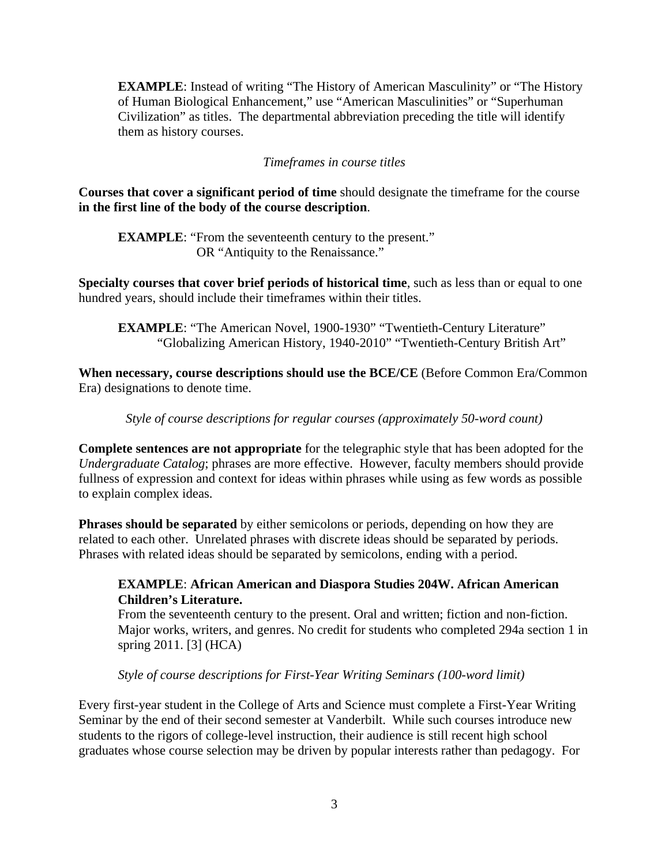**EXAMPLE**: Instead of writing "The History of American Masculinity" or "The History of Human Biological Enhancement," use "American Masculinities" or "Superhuman Civilization" as titles. The departmental abbreviation preceding the title will identify them as history courses.

### *Timeframes in course titles*

**Courses that cover a significant period of time** should designate the timeframe for the course **in the first line of the body of the course description**.

**EXAMPLE:** "From the seventeenth century to the present." OR "Antiquity to the Renaissance."

**Specialty courses that cover brief periods of historical time**, such as less than or equal to one hundred years, should include their timeframes within their titles.

**EXAMPLE:** "The American Novel, 1900-1930" "Twentieth-Century Literature" "Globalizing American History, 1940-2010" "Twentieth-Century British Art"

**When necessary, course descriptions should use the BCE/CE** (Before Common Era/Common Era) designations to denote time.

*Style of course descriptions for regular courses (approximately 50-word count)* 

**Complete sentences are not appropriate** for the telegraphic style that has been adopted for the *Undergraduate Catalog*; phrases are more effective. However, faculty members should provide fullness of expression and context for ideas within phrases while using as few words as possible to explain complex ideas.

**Phrases should be separated** by either semicolons or periods, depending on how they are related to each other. Unrelated phrases with discrete ideas should be separated by periods. Phrases with related ideas should be separated by semicolons, ending with a period.

### **EXAMPLE**: **African American and Diaspora Studies 204W. African American Children's Literature.**

From the seventeenth century to the present. Oral and written; fiction and non-fiction. Major works, writers, and genres. No credit for students who completed 294a section 1 in spring 2011. [3] (HCA)

*Style of course descriptions for First-Year Writing Seminars (100-word limit)* 

Every first-year student in the College of Arts and Science must complete a First-Year Writing Seminar by the end of their second semester at Vanderbilt. While such courses introduce new students to the rigors of college-level instruction, their audience is still recent high school graduates whose course selection may be driven by popular interests rather than pedagogy. For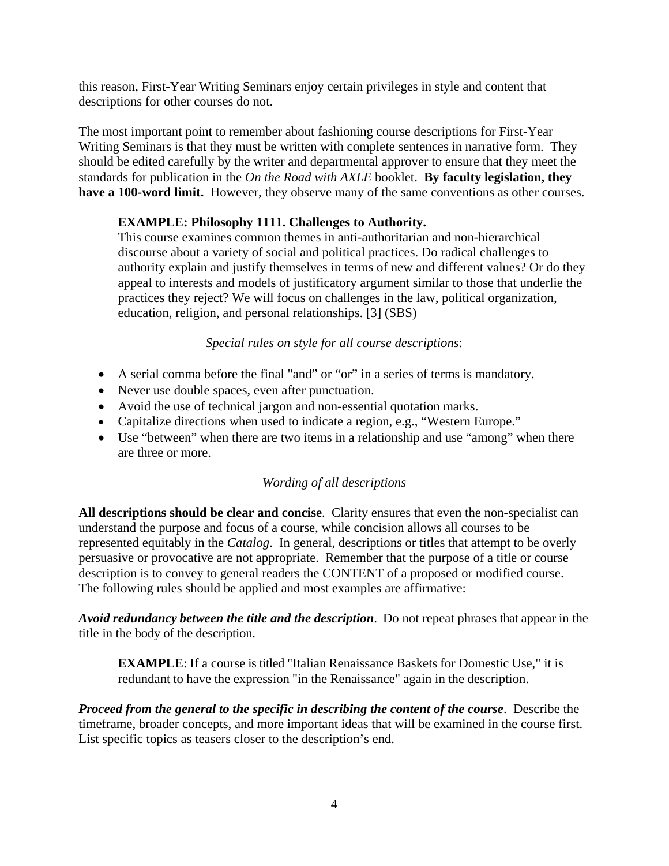this reason, First-Year Writing Seminars enjoy certain privileges in style and content that descriptions for other courses do not.

The most important point to remember about fashioning course descriptions for First-Year Writing Seminars is that they must be written with complete sentences in narrative form. They should be edited carefully by the writer and departmental approver to ensure that they meet the standards for publication in the *On the Road with AXLE* booklet. **By faculty legislation, they have a 100-word limit.** However, they observe many of the same conventions as other courses.

# **EXAMPLE: Philosophy 1111. Challenges to Authority.**

This course examines common themes in anti-authoritarian and non-hierarchical discourse about a variety of social and political practices. Do radical challenges to authority explain and justify themselves in terms of new and different values? Or do they appeal to interests and models of justificatory argument similar to those that underlie the practices they reject? We will focus on challenges in the law, political organization, education, religion, and personal relationships. [3] (SBS)

*Special rules on style for all course descriptions*:

- A serial comma before the final "and" or "or" in a series of terms is mandatory.
- Never use double spaces, even after punctuation.
- Avoid the use of technical jargon and non-essential quotation marks.
- Capitalize directions when used to indicate a region, e.g., "Western Europe."
- Use "between" when there are two items in a relationship and use "among" when there are three or more.

# *Wording of all descriptions*

**All descriptions should be clear and concise**. Clarity ensures that even the non-specialist can understand the purpose and focus of a course, while concision allows all courses to be represented equitably in the *Catalog*. In general, descriptions or titles that attempt to be overly persuasive or provocative are not appropriate. Remember that the purpose of a title or course description is to convey to general readers the CONTENT of a proposed or modified course. The following rules should be applied and most examples are affirmative:

*Avoid redundancy between the title and the description*. Do not repeat phrases that appear in the title in the body of the description.

**EXAMPLE**: If a course is titled "Italian Renaissance Baskets for Domestic Use," it is redundant to have the expression "in the Renaissance" again in the description.

*Proceed from the general to the specific in describing the content of the course*. Describe the timeframe, broader concepts, and more important ideas that will be examined in the course first. List specific topics as teasers closer to the description's end.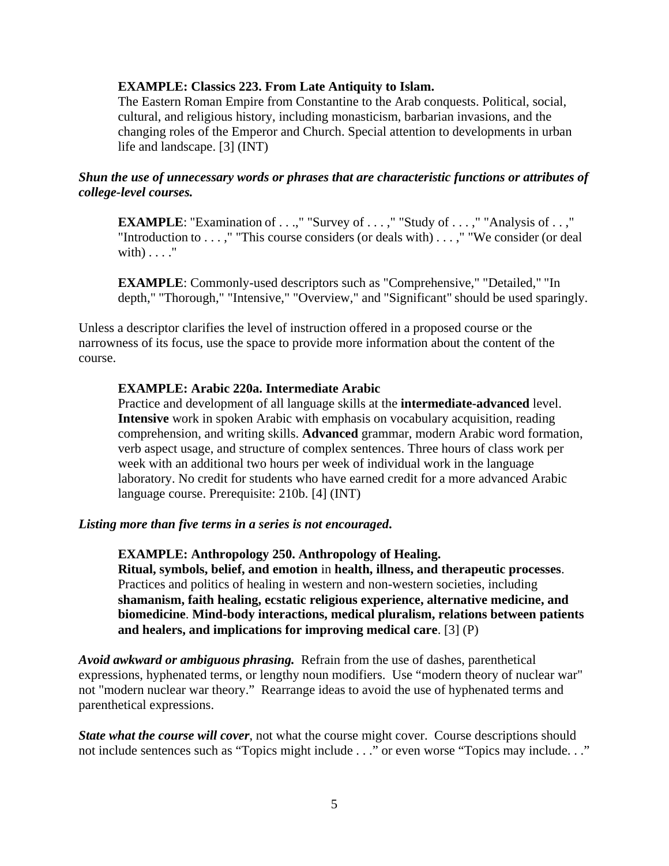#### **EXAMPLE: Classics 223. From Late Antiquity to Islam.**

The Eastern Roman Empire from Constantine to the Arab conquests. Political, social, cultural, and religious history, including monasticism, barbarian invasions, and the changing roles of the Emperor and Church. Special attention to developments in urban life and landscape. [3] (INT)

#### *Shun the use of unnecessary words or phrases that are characteristic functions or attributes of college-level courses.*

**EXAMPLE**: "Examination of . . .," "Survey of . . . ," "Study of . . . ," "Analysis of . . ," "Introduction to . . . ," "This course considers (or deals with) . . . ," "We consider (or deal with $) \ldots$ ."

**EXAMPLE**: Commonly-used descriptors such as "Comprehensive," "Detailed," "In depth," "Thorough," "Intensive," "Overview," and "Significant" should be used sparingly.

Unless a descriptor clarifies the level of instruction offered in a proposed course or the narrowness of its focus, use the space to provide more information about the content of the course.

#### **EXAMPLE: Arabic 220a. Intermediate Arabic**

Practice and development of all language skills at the **intermediate-advanced** level. **Intensive** work in spoken Arabic with emphasis on vocabulary acquisition, reading comprehension, and writing skills. **Advanced** grammar, modern Arabic word formation, verb aspect usage, and structure of complex sentences. Three hours of class work per week with an additional two hours per week of individual work in the language laboratory. No credit for students who have earned credit for a more advanced Arabic language course. Prerequisite: 210b. [4] (INT)

#### *Listing more than five terms in a series is not encouraged***.**

#### **EXAMPLE: Anthropology 250. Anthropology of Healing.**

**Ritual, symbols, belief, and emotion** in **health, illness, and therapeutic processes**. Practices and politics of healing in western and non-western societies, including **shamanism, faith healing, ecstatic religious experience, alternative medicine, and biomedicine**. **Mind-body interactions, medical pluralism, relations between patients and healers, and implications for improving medical care**. [3] (P)

*Avoid awkward or ambiguous phrasing.* Refrain from the use of dashes, parenthetical expressions, hyphenated terms, or lengthy noun modifiers. Use "modern theory of nuclear war" not "modern nuclear war theory." Rearrange ideas to avoid the use of hyphenated terms and parenthetical expressions.

*State what the course will cover*, not what the course might cover. Course descriptions should not include sentences such as "Topics might include . . ." or even worse "Topics may include. . ."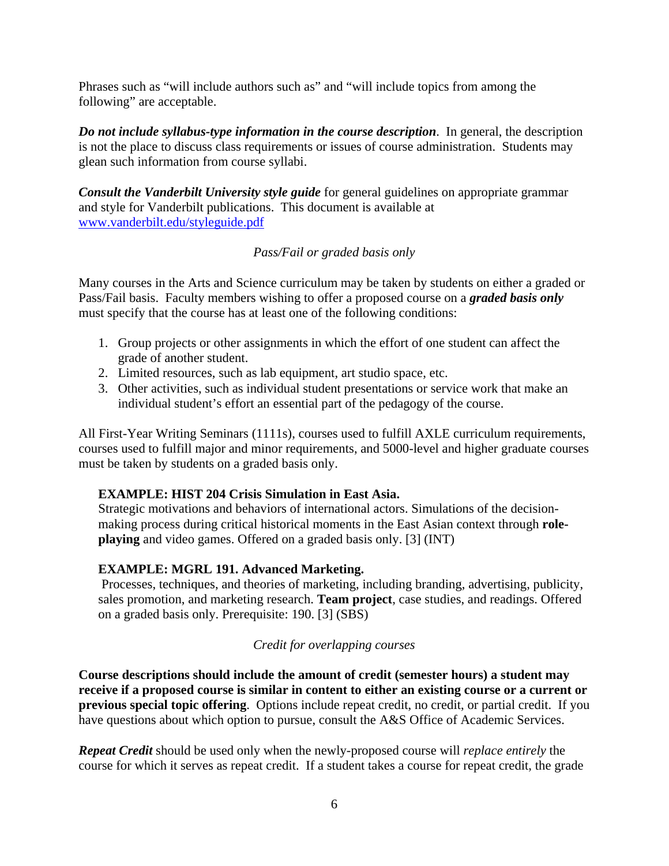Phrases such as "will include authors such as" and "will include topics from among the following" are acceptable.

*Do not include syllabus-type information in the course description*. In general, the description is not the place to discuss class requirements or issues of course administration. Students may glean such information from course syllabi.

*Consult the Vanderbilt University style guide* for general guidelines on appropriate grammar and style for Vanderbilt publications. This document is available at www.vanderbilt.edu/styleguide.pdf

# *Pass/Fail or graded basis only*

Many courses in the Arts and Science curriculum may be taken by students on either a graded or Pass/Fail basis. Faculty members wishing to offer a proposed course on a *graded basis only* must specify that the course has at least one of the following conditions:

- 1. Group projects or other assignments in which the effort of one student can affect the grade of another student.
- 2. Limited resources, such as lab equipment, art studio space, etc.
- 3. Other activities, such as individual student presentations or service work that make an individual student's effort an essential part of the pedagogy of the course.

All First-Year Writing Seminars (1111s), courses used to fulfill AXLE curriculum requirements, courses used to fulfill major and minor requirements, and 5000-level and higher graduate courses must be taken by students on a graded basis only.

#### **EXAMPLE: HIST 204 Crisis Simulation in East Asia.**

Strategic motivations and behaviors of international actors. Simulations of the decisionmaking process during critical historical moments in the East Asian context through **roleplaying** and video games. Offered on a graded basis only. [3] (INT)

# **EXAMPLE: MGRL 191. Advanced Marketing.**

Processes, techniques, and theories of marketing, including branding, advertising, publicity, sales promotion, and marketing research. **Team project**, case studies, and readings. Offered on a graded basis only. Prerequisite: 190. [3] (SBS)

# *Credit for overlapping courses*

**Course descriptions should include the amount of credit (semester hours) a student may receive if a proposed course is similar in content to either an existing course or a current or previous special topic offering**. Options include repeat credit, no credit, or partial credit. If you have questions about which option to pursue, consult the A&S Office of Academic Services.

*Repeat Credit* should be used only when the newly-proposed course will *replace entirely* the course for which it serves as repeat credit. If a student takes a course for repeat credit, the grade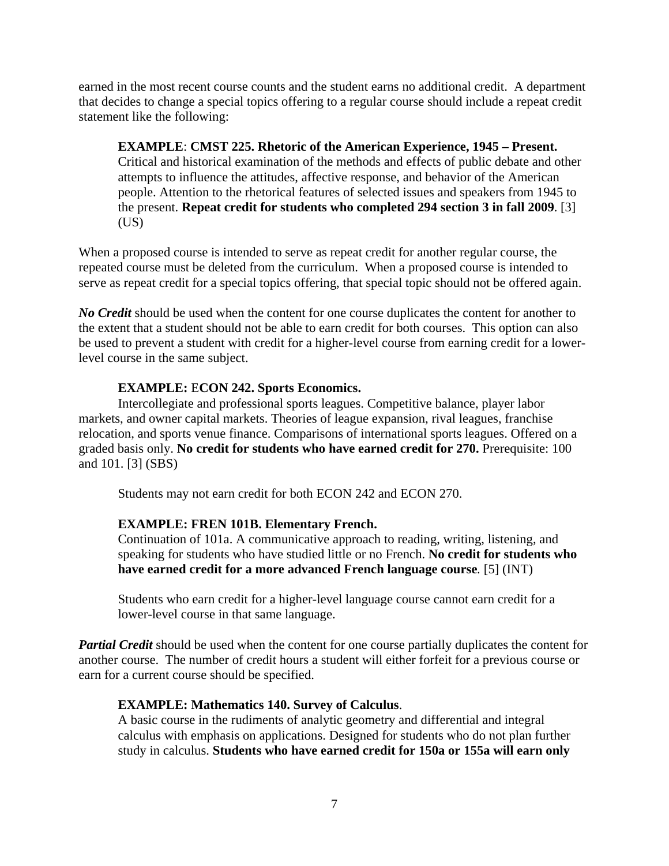earned in the most recent course counts and the student earns no additional credit. A department that decides to change a special topics offering to a regular course should include a repeat credit statement like the following:

**EXAMPLE**: **CMST 225. Rhetoric of the American Experience, 1945 – Present.**  Critical and historical examination of the methods and effects of public debate and other attempts to influence the attitudes, affective response, and behavior of the American people. Attention to the rhetorical features of selected issues and speakers from 1945 to the present. **Repeat credit for students who completed 294 section 3 in fall 2009**. [3]  $(US)$ 

When a proposed course is intended to serve as repeat credit for another regular course, the repeated course must be deleted from the curriculum. When a proposed course is intended to serve as repeat credit for a special topics offering, that special topic should not be offered again.

*No Credit* should be used when the content for one course duplicates the content for another to the extent that a student should not be able to earn credit for both courses. This option can also be used to prevent a student with credit for a higher-level course from earning credit for a lowerlevel course in the same subject.

#### **EXAMPLE:** E**CON 242. Sports Economics.**

Intercollegiate and professional sports leagues. Competitive balance, player labor markets, and owner capital markets. Theories of league expansion, rival leagues, franchise relocation, and sports venue finance. Comparisons of international sports leagues. Offered on a graded basis only. **No credit for students who have earned credit for 270.** Prerequisite: 100 and 101. [3] (SBS)

Students may not earn credit for both ECON 242 and ECON 270.

# **EXAMPLE: FREN 101B. Elementary French.**

Continuation of 101a. A communicative approach to reading, writing, listening, and speaking for students who have studied little or no French. **No credit for students who have earned credit for a more advanced French language course***.* [5] (INT)

Students who earn credit for a higher-level language course cannot earn credit for a lower-level course in that same language.

*Partial Credit* should be used when the content for one course partially duplicates the content for another course. The number of credit hours a student will either forfeit for a previous course or earn for a current course should be specified.

#### **EXAMPLE: Mathematics 140. Survey of Calculus**.

A basic course in the rudiments of analytic geometry and differential and integral calculus with emphasis on applications. Designed for students who do not plan further study in calculus. **Students who have earned credit for 150a or 155a will earn only**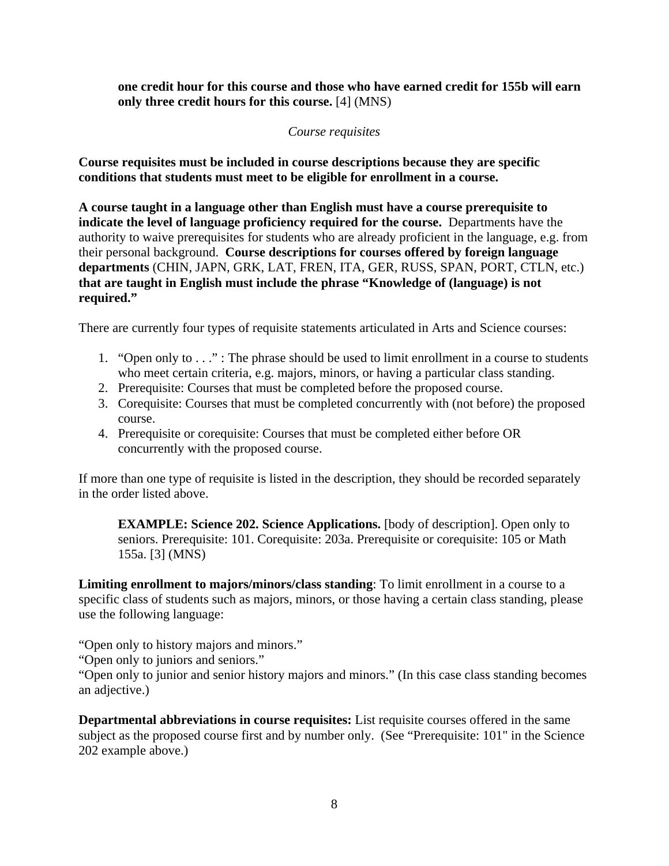**one credit hour for this course and those who have earned credit for 155b will earn only three credit hours for this course.** [4] (MNS)

### *Course requisites*

**Course requisites must be included in course descriptions because they are specific conditions that students must meet to be eligible for enrollment in a course.**

**A course taught in a language other than English must have a course prerequisite to indicate the level of language proficiency required for the course.** Departments have the authority to waive prerequisites for students who are already proficient in the language, e.g. from their personal background. **Course descriptions for courses offered by foreign language departments** (CHIN, JAPN, GRK, LAT, FREN, ITA, GER, RUSS, SPAN, PORT, CTLN, etc.) **that are taught in English must include the phrase "Knowledge of (language) is not required."**

There are currently four types of requisite statements articulated in Arts and Science courses:

- 1. "Open only to . . ." : The phrase should be used to limit enrollment in a course to students who meet certain criteria, e.g. majors, minors, or having a particular class standing.
- 2. Prerequisite: Courses that must be completed before the proposed course.
- 3. Corequisite: Courses that must be completed concurrently with (not before) the proposed course.
- 4. Prerequisite or corequisite: Courses that must be completed either before OR concurrently with the proposed course.

If more than one type of requisite is listed in the description, they should be recorded separately in the order listed above.

**EXAMPLE: Science 202. Science Applications.** [body of description]. Open only to seniors. Prerequisite: 101. Corequisite: 203a. Prerequisite or corequisite: 105 or Math 155a. [3] (MNS)

**Limiting enrollment to majors/minors/class standing**: To limit enrollment in a course to a specific class of students such as majors, minors, or those having a certain class standing, please use the following language:

"Open only to history majors and minors."

"Open only to juniors and seniors."

"Open only to junior and senior history majors and minors." (In this case class standing becomes an adjective.)

**Departmental abbreviations in course requisites:** List requisite courses offered in the same subject as the proposed course first and by number only. (See "Prerequisite: 101" in the Science 202 example above.)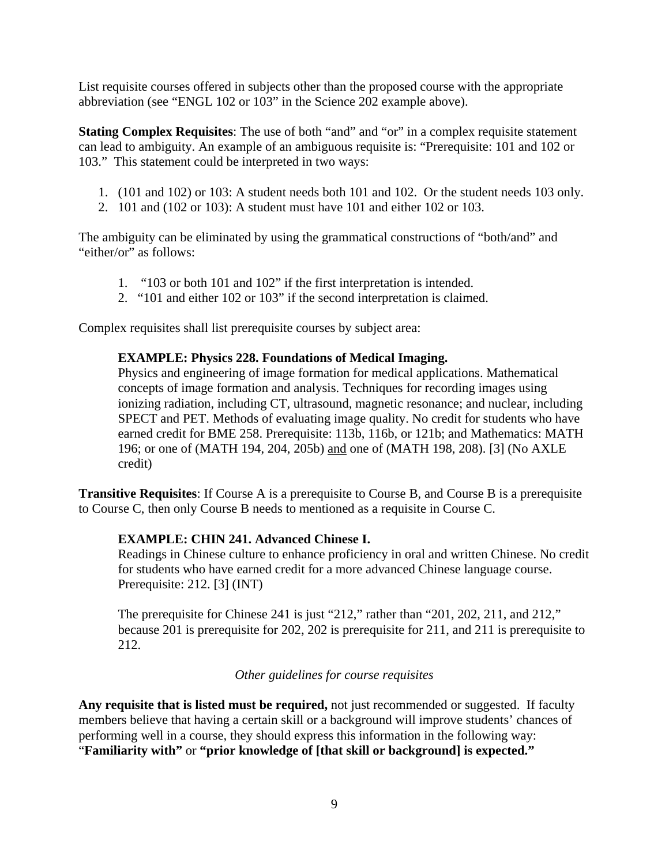List requisite courses offered in subjects other than the proposed course with the appropriate abbreviation (see "ENGL 102 or 103" in the Science 202 example above).

**Stating Complex Requisites**: The use of both "and" and "or" in a complex requisite statement can lead to ambiguity. An example of an ambiguous requisite is: "Prerequisite: 101 and 102 or 103." This statement could be interpreted in two ways:

- 1. (101 and 102) or 103: A student needs both 101 and 102. Or the student needs 103 only.
- 2. 101 and (102 or 103): A student must have 101 and either 102 or 103.

The ambiguity can be eliminated by using the grammatical constructions of "both/and" and "either/or" as follows:

- 1. "103 or both 101 and 102" if the first interpretation is intended.
- 2. "101 and either 102 or 103" if the second interpretation is claimed.

Complex requisites shall list prerequisite courses by subject area:

#### **EXAMPLE: Physics 228. Foundations of Medical Imaging.**

Physics and engineering of image formation for medical applications. Mathematical concepts of image formation and analysis. Techniques for recording images using ionizing radiation, including CT, ultrasound, magnetic resonance; and nuclear, including SPECT and PET. Methods of evaluating image quality. No credit for students who have earned credit for BME 258. Prerequisite: 113b, 116b, or 121b; and Mathematics: MATH 196; or one of (MATH 194, 204, 205b) and one of (MATH 198, 208). [3] (No AXLE credit)

**Transitive Requisites**: If Course A is a prerequisite to Course B, and Course B is a prerequisite to Course C, then only Course B needs to mentioned as a requisite in Course C.

#### **EXAMPLE: CHIN 241. Advanced Chinese I.**

Readings in Chinese culture to enhance proficiency in oral and written Chinese. No credit for students who have earned credit for a more advanced Chinese language course. Prerequisite: 212. [3] (INT)

The prerequisite for Chinese 241 is just "212," rather than "201, 202, 211, and 212," because 201 is prerequisite for 202, 202 is prerequisite for 211, and 211 is prerequisite to 212.

#### *Other guidelines for course requisites*

**Any requisite that is listed must be required,** not just recommended or suggested. If faculty members believe that having a certain skill or a background will improve students' chances of performing well in a course, they should express this information in the following way: "**Familiarity with"** or **"prior knowledge of [that skill or background] is expected."**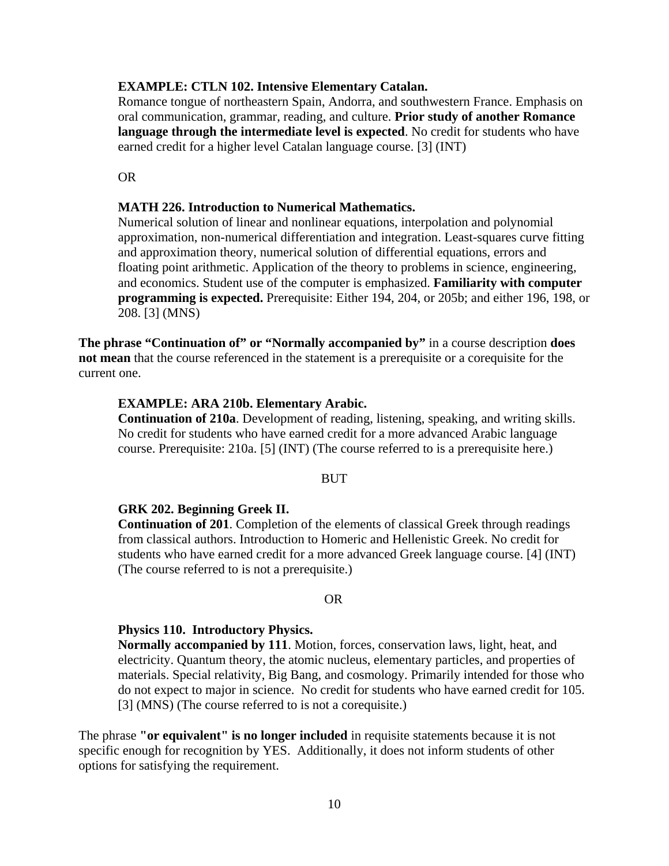#### **EXAMPLE: CTLN 102. Intensive Elementary Catalan.**

Romance tongue of northeastern Spain, Andorra, and southwestern France. Emphasis on oral communication, grammar, reading, and culture. **Prior study of another Romance language through the intermediate level is expected**. No credit for students who have earned credit for a higher level Catalan language course. [3] (INT)

OR

#### **MATH 226. Introduction to Numerical Mathematics.**

Numerical solution of linear and nonlinear equations, interpolation and polynomial approximation, non-numerical differentiation and integration. Least-squares curve fitting and approximation theory, numerical solution of differential equations, errors and floating point arithmetic. Application of the theory to problems in science, engineering, and economics. Student use of the computer is emphasized. **Familiarity with computer programming is expected.** Prerequisite: Either 194, 204, or 205b; and either 196, 198, or 208. [3] (MNS)

**The phrase "Continuation of" or "Normally accompanied by"** in a course description **does not mean** that the course referenced in the statement is a prerequisite or a corequisite for the current one.

#### **EXAMPLE: ARA 210b. Elementary Arabic.**

**Continuation of 210a**. Development of reading, listening, speaking, and writing skills. No credit for students who have earned credit for a more advanced Arabic language course. Prerequisite: 210a. [5] (INT) (The course referred to is a prerequisite here.)

#### BUT

#### **GRK 202. Beginning Greek II.**

**Continuation of 201**. Completion of the elements of classical Greek through readings from classical authors. Introduction to Homeric and Hellenistic Greek. No credit for students who have earned credit for a more advanced Greek language course. [4] (INT) (The course referred to is not a prerequisite.)

#### OR

#### **Physics 110. Introductory Physics.**

**Normally accompanied by 111**. Motion, forces, conservation laws, light, heat, and electricity. Quantum theory, the atomic nucleus, elementary particles, and properties of materials. Special relativity, Big Bang, and cosmology. Primarily intended for those who do not expect to major in science. No credit for students who have earned credit for 105. [3] (MNS) (The course referred to is not a corequisite.)

The phrase **"or equivalent" is no longer included** in requisite statements because it is not specific enough for recognition by YES. Additionally, it does not inform students of other options for satisfying the requirement.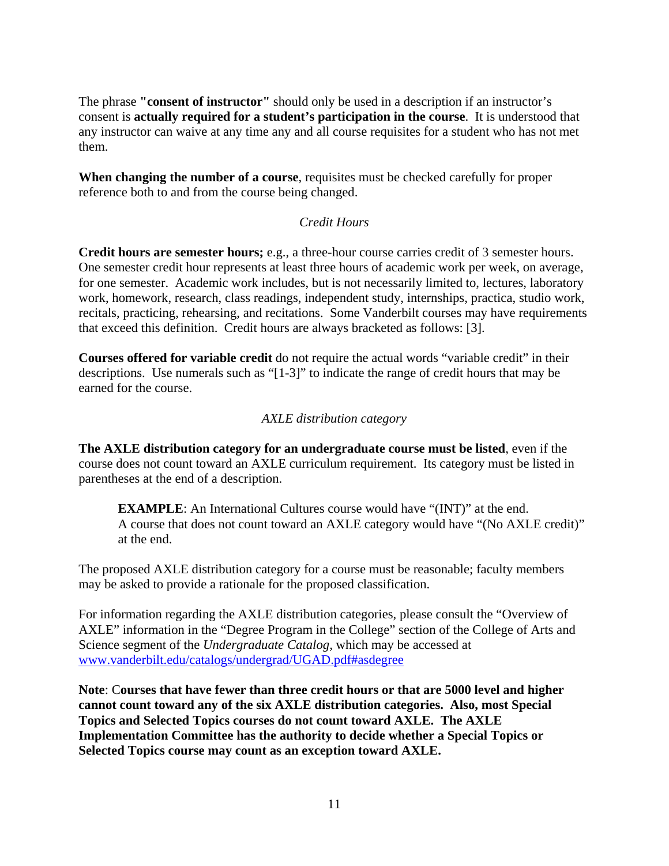The phrase **"consent of instructor"** should only be used in a description if an instructor's consent is **actually required for a student's participation in the course**. It is understood that any instructor can waive at any time any and all course requisites for a student who has not met them.

**When changing the number of a course**, requisites must be checked carefully for proper reference both to and from the course being changed.

# *Credit Hours*

**Credit hours are semester hours;** e.g., a three-hour course carries credit of 3 semester hours. One semester credit hour represents at least three hours of academic work per week, on average, for one semester. Academic work includes, but is not necessarily limited to, lectures, laboratory work, homework, research, class readings, independent study, internships, practica, studio work, recitals, practicing, rehearsing, and recitations. Some Vanderbilt courses may have requirements that exceed this definition. Credit hours are always bracketed as follows: [3].

**Courses offered for variable credit** do not require the actual words "variable credit" in their descriptions. Use numerals such as "[1-3]" to indicate the range of credit hours that may be earned for the course.

# *AXLE distribution category*

**The AXLE distribution category for an undergraduate course must be listed**, even if the course does not count toward an AXLE curriculum requirement. Its category must be listed in parentheses at the end of a description.

**EXAMPLE**: An International Cultures course would have "(INT)" at the end. A course that does not count toward an AXLE category would have "(No AXLE credit)" at the end.

The proposed AXLE distribution category for a course must be reasonable; faculty members may be asked to provide a rationale for the proposed classification.

For information regarding the AXLE distribution categories, please consult the "Overview of AXLE" information in the "Degree Program in the College" section of the College of Arts and Science segment of the *Undergraduate Catalog,* which may be accessed at www.vanderbilt.edu/catalogs/undergrad/UGAD.pdf#asdegree

**Note**: C**ourses that have fewer than three credit hours or that are 5000 level and higher cannot count toward any of the six AXLE distribution categories. Also, most Special Topics and Selected Topics courses do not count toward AXLE. The AXLE Implementation Committee has the authority to decide whether a Special Topics or Selected Topics course may count as an exception toward AXLE.**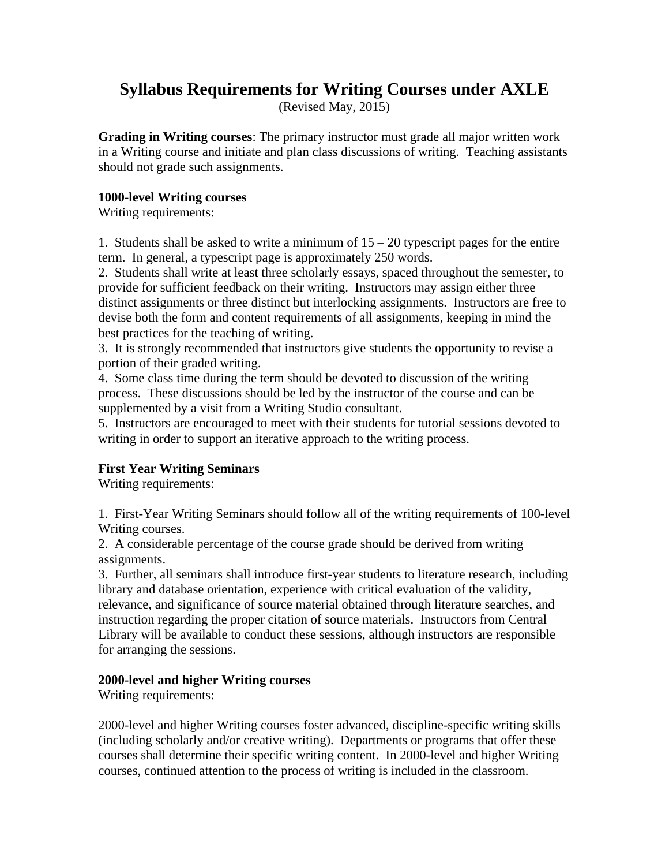# **Syllabus Requirements for Writing Courses under AXLE**

(Revised May, 2015)

**Grading in Writing courses**: The primary instructor must grade all major written work in a Writing course and initiate and plan class discussions of writing. Teaching assistants should not grade such assignments.

#### **1000-level Writing courses**

Writing requirements:

1. Students shall be asked to write a minimum of  $15 - 20$  typescript pages for the entire term. In general, a typescript page is approximately 250 words.

2. Students shall write at least three scholarly essays, spaced throughout the semester, to provide for sufficient feedback on their writing. Instructors may assign either three distinct assignments or three distinct but interlocking assignments. Instructors are free to devise both the form and content requirements of all assignments, keeping in mind the best practices for the teaching of writing.

3. It is strongly recommended that instructors give students the opportunity to revise a portion of their graded writing.

4. Some class time during the term should be devoted to discussion of the writing process. These discussions should be led by the instructor of the course and can be supplemented by a visit from a Writing Studio consultant.

5. Instructors are encouraged to meet with their students for tutorial sessions devoted to writing in order to support an iterative approach to the writing process.

# **First Year Writing Seminars**

Writing requirements:

1. First-Year Writing Seminars should follow all of the writing requirements of 100-level Writing courses.

2. A considerable percentage of the course grade should be derived from writing assignments.

3. Further, all seminars shall introduce first-year students to literature research, including library and database orientation, experience with critical evaluation of the validity, relevance, and significance of source material obtained through literature searches, and instruction regarding the proper citation of source materials. Instructors from Central Library will be available to conduct these sessions, although instructors are responsible for arranging the sessions.

# **2000-level and higher Writing courses**

Writing requirements:

2000-level and higher Writing courses foster advanced, discipline-specific writing skills (including scholarly and/or creative writing). Departments or programs that offer these courses shall determine their specific writing content. In 2000-level and higher Writing courses, continued attention to the process of writing is included in the classroom.